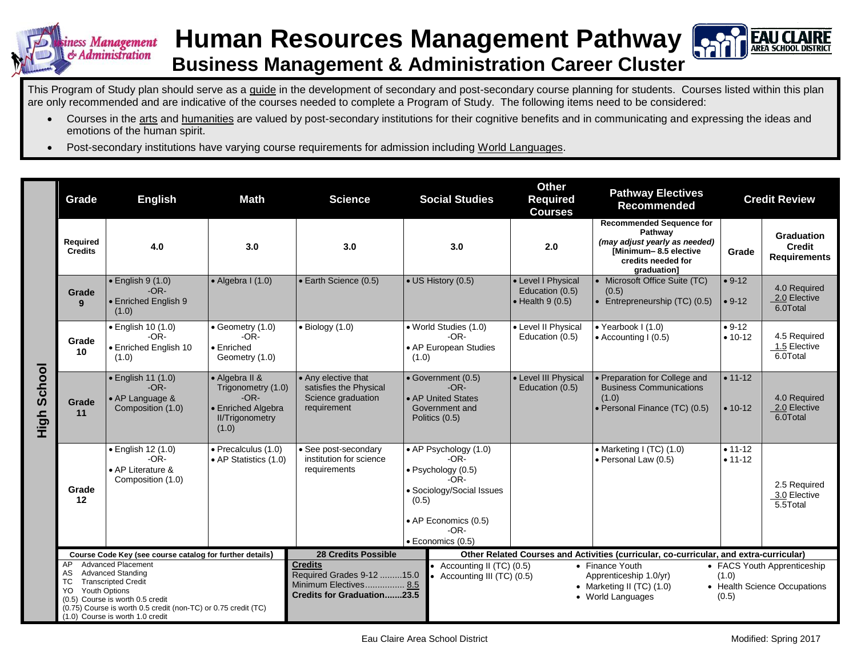## **Human Resources Management Pathway ness Management AREA SCHOOL DISTRIC**  $&$  Administration **Business Management & Administration Career Cluster**

This Program of Study plan should serve as a guide in the development of secondary and post-secondary course planning for students. Courses listed within this plan are only recommended and are indicative of the courses needed to complete a Program of Study. The following items need to be considered:

- Courses in the arts and humanities are valued by post-secondary institutions for their cognitive benefits and in communicating and expressing the ideas and emotions of the human spirit.
- Post-secondary institutions have varying course requirements for admission including World Languages.

|                | Grade                                                                                                                                                                                                                                | <b>English</b><br><b>Math</b>                                                |                                                                                                         | <b>Social Studies</b><br><b>Science</b>                                                 |                                                                                                                                                                    | <b>Other</b><br><b>Pathway Electives</b><br><b>Required</b><br><b>Recommended</b><br><b>Courses</b>                                                                                                                                             |                                                                                                                                           | <b>Credit Review</b>     |                                                    |
|----------------|--------------------------------------------------------------------------------------------------------------------------------------------------------------------------------------------------------------------------------------|------------------------------------------------------------------------------|---------------------------------------------------------------------------------------------------------|-----------------------------------------------------------------------------------------|--------------------------------------------------------------------------------------------------------------------------------------------------------------------|-------------------------------------------------------------------------------------------------------------------------------------------------------------------------------------------------------------------------------------------------|-------------------------------------------------------------------------------------------------------------------------------------------|--------------------------|----------------------------------------------------|
|                | Required<br><b>Credits</b>                                                                                                                                                                                                           | 4.0                                                                          | 3.0                                                                                                     | 3.0                                                                                     | 3.0                                                                                                                                                                | 2.0                                                                                                                                                                                                                                             | <b>Recommended Sequence for</b><br>Pathway<br>(may adjust yearly as needed)<br>[Minimum-8.5 elective<br>credits needed for<br>graduation] | Grade                    | Graduation<br><b>Credit</b><br><b>Requirements</b> |
|                | Grade<br>$9^{\circ}$                                                                                                                                                                                                                 | $\cdot$ English 9 (1.0)<br>$-OR-$<br><b>Enriched English 9</b><br>(1.0)      | $\bullet$ Algebra I (1.0)                                                                               | • Earth Science (0.5)                                                                   | • US History (0.5)                                                                                                                                                 | • Level I Physical<br>Education (0.5)<br>$\bullet$ Health 9 (0.5)                                                                                                                                                                               | • Microsoft Office Suite (TC)<br>(0.5)<br>• Entrepreneurship $(TC)$ $(0.5)$                                                               | $• 9-12$<br>$• 9-12$     | 4.0 Required<br>2.0 Elective<br>6.0Total           |
|                | Grade<br>10                                                                                                                                                                                                                          | • English 10 (1.0)<br>$-OR-$<br>• Enriched English 10<br>(1.0)               | $\bullet$ Geometry (1.0)<br>$-OR-$<br>$\bullet$ Enriched<br>Geometry (1.0)                              | $\bullet$ Biology (1.0)                                                                 | • World Studies (1.0)<br>$-OR-$<br>• AP European Studies<br>(1.0)                                                                                                  | • Level II Physical<br>Education (0.5)                                                                                                                                                                                                          | $\bullet$ Yearbook I (1.0)<br>• Accounting I (0.5)                                                                                        | $• 9-12$<br>$• 10-12$    | 4.5 Required<br>1.5 Elective<br>6.0Total           |
| School<br>High | Grade<br>11                                                                                                                                                                                                                          | $\bullet$ English 11 (1.0)<br>$-OR-$<br>• AP Language &<br>Composition (1.0) | • Algebra II &<br>Trigonometry (1.0)<br>$-OR-$<br>• Enriched Algebra<br><b>II/Trigonometry</b><br>(1.0) | • Any elective that<br>satisfies the Physical<br>Science graduation<br>requirement      | • Government (0.5)<br>$-OR-$<br>• AP United States<br>Government and<br>Politics (0.5)                                                                             | • Level III Physical<br>Education (0.5)                                                                                                                                                                                                         | • Preparation for College and<br><b>Business Communications</b><br>(1.0)<br>• Personal Finance (TC) (0.5)                                 | $• 11 - 12$<br>$• 10-12$ | 4.0 Required<br>2.0 Elective<br>6.0Total           |
|                | Grade<br>12                                                                                                                                                                                                                          | • English 12 (1.0)<br>$-OR-$<br>• AP Literature &<br>Composition (1.0)       | $\overline{\bullet}$ Precalculus (1.0)<br>• AP Statistics (1.0)                                         | • See post-secondary<br>institution for science<br>requirements                         | • AP Psychology (1.0)<br>$-OR-$<br>$\bullet$ Psychology (0.5)<br>-OR-<br>· Sociology/Social Issues<br>(0.5)<br>• AP Economics (0.5)<br>$-OR-$<br>· Economics (0.5) |                                                                                                                                                                                                                                                 | • Marketing I (TC) (1.0)<br>• Personal Law (0.5)                                                                                          | $• 11 - 12$<br>$• 11-12$ | 2.5 Required<br>3.0 Elective<br>5.5Total           |
|                | Course Code Key (see course catalog for further details)<br><b>Advanced Placement</b><br>AP                                                                                                                                          |                                                                              |                                                                                                         | <b>28 Credits Possible</b><br><b>Credits</b>                                            |                                                                                                                                                                    | Other Related Courses and Activities (curricular, co-curricular, and extra-curricular)                                                                                                                                                          |                                                                                                                                           |                          |                                                    |
|                | <b>Advanced Standing</b><br>AS<br>ТC<br><b>Transcripted Credit</b><br>Youth Options<br>YO.<br>(0.5) Course is worth 0.5 credit<br>(0.75) Course is worth 0.5 credit (non-TC) or 0.75 credit (TC)<br>(1.0) Course is worth 1.0 credit |                                                                              |                                                                                                         | Required Grades 9-12 15.0<br>Minimum Electives 8.5<br><b>Credits for Graduation23.5</b> |                                                                                                                                                                    | • Accounting II (TC) $(0.5)$<br>• Finance Youth<br>• FACS Youth Apprenticeship<br>(1.0)<br>• Accounting III (TC) (0.5)<br>Apprenticeship 1.0/yr)<br>• Health Science Occupations<br>• Marketing II $(TC)$ $(1.0)$<br>(0.5)<br>• World Languages |                                                                                                                                           |                          |                                                    |